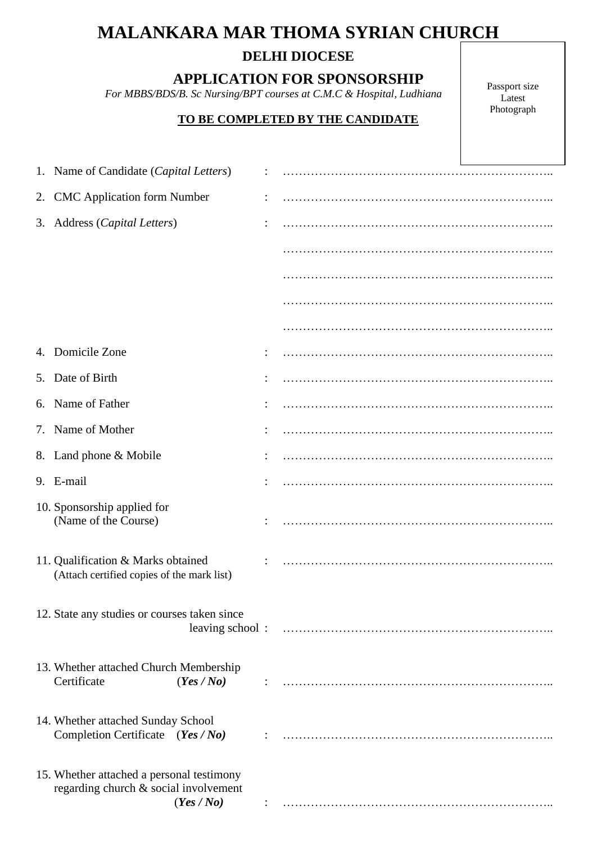# **MALANKARA MAR THOMA SYRIAN CHURCH**

## **DELHI DIOCESE**

**APPLICATION FOR SPONSORSHIP**

 *For MBBS/BDS/B. Sc Nursing/BPT courses at C.M.C & Hospital, Ludhiana*

### **TO BE COMPLETED BY THE CANDIDATE**

Passport size Latest Photograph

| 1. Name of Candidate (Capital Letters)                                                           |  |
|--------------------------------------------------------------------------------------------------|--|
| 2. CMC Application form Number                                                                   |  |
| 3. Address (Capital Letters)                                                                     |  |
|                                                                                                  |  |
|                                                                                                  |  |
|                                                                                                  |  |
|                                                                                                  |  |
| 4. Domicile Zone                                                                                 |  |
| 5. Date of Birth                                                                                 |  |
| 6. Name of Father                                                                                |  |
| 7. Name of Mother                                                                                |  |
| 8. Land phone & Mobile                                                                           |  |
| 9. E-mail                                                                                        |  |
| 10. Sponsorship applied for<br>(Name of the Course)                                              |  |
| 11. Qualification & Marks obtained<br>(Attach certified copies of the mark list)                 |  |
| 12. State any studies or courses taken since                                                     |  |
| 13. Whether attached Church Membership<br>Certificate<br>(Yes / No)                              |  |
| 14. Whether attached Sunday School<br>Completion Certificate (Yes / No)                          |  |
| 15. Whether attached a personal testimony<br>regarding church & social involvement<br>(Yes / No) |  |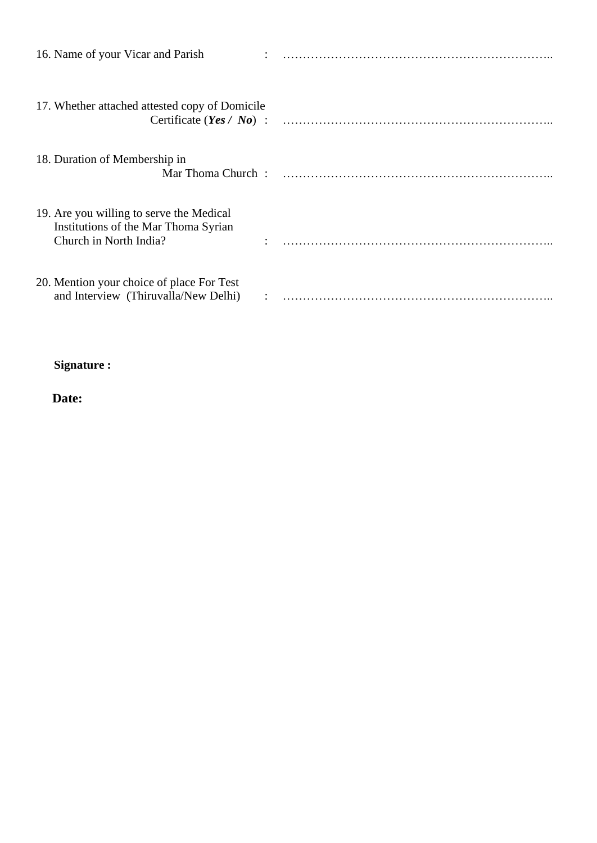| 16. Name of your Vicar and Parish                                                                          |  |
|------------------------------------------------------------------------------------------------------------|--|
| 17. Whether attached attested copy of Domicile                                                             |  |
| 18. Duration of Membership in                                                                              |  |
| 19. Are you willing to serve the Medical<br>Institutions of the Mar Thoma Syrian<br>Church in North India? |  |
| 20. Mention your choice of place For Test<br>and Interview (Thiruvalla/New Delhi)                          |  |

## **Signature :**

**Date:**